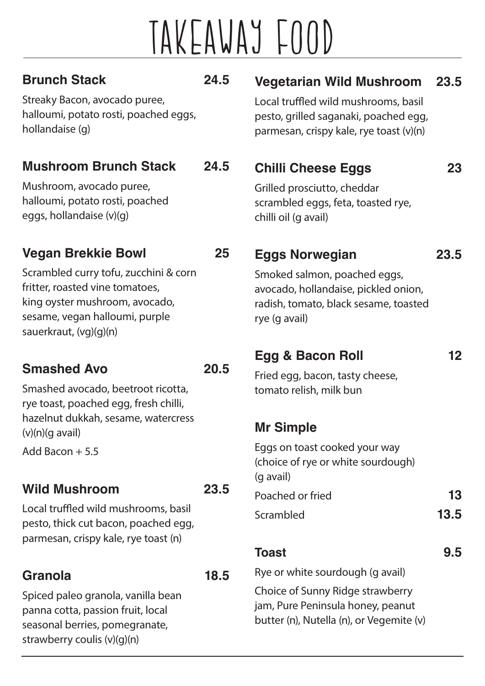## TAKEAwAy FOOD

#### **Brunch Stack 24.5**

Streaky Bacon, avocado puree, halloumi, potato rosti, poached eggs, hollandaise (g)

#### **Mushroom Brunch Stack 24.5**

Mushroom, avocado puree, halloumi, potato rosti, poached eggs, hollandaise (v)(g)

#### **Vegan Brekkie Bowl 25**

Scrambled curry tofu, zucchini & corn fritter, roasted vine tomatoes, king oyster mushroom, avocado, sesame, vegan halloumi, purple sauerkraut, (vg)(g)(n)

#### **Smashed Avo 20.5**

Smashed avocado, beetroot ricotta, rye toast, poached egg, fresh chilli, hazelnut dukkah, sesame, watercress  $(v)(n)(q$  avail)

Add Bacon + 5.5

#### **Wild Mushroom 23.5**

Local truffled wild mushrooms, basil pesto, thick cut bacon, poached egg, parmesan, crispy kale, rye toast (n)

#### **Granola 18.5**

Spiced paleo granola, vanilla bean panna cotta, passion fruit, local seasonal berries, pomegranate, strawberry coulis (v)(g)(n)

#### **Vegetarian Wild Mushroom 23.5**

Local truffled wild mushrooms, basil pesto, grilled saganaki, poached egg, parmesan, crispy kale, rye toast (v)(n)

#### **Chilli Cheese Eggs 23**

Grilled prosciutto, cheddar scrambled eggs, feta, toasted rye, chilli oil (g avail)

#### **Eggs Norwegian 23.5**

Smoked salmon, poached eggs, avocado, hollandaise, pickled onion, radish, tomato, black sesame, toasted rye (g avail)

#### **Egg & Bacon Roll 12**

Fried egg, bacon, tasty cheese, tomato relish, milk bun

#### **Mr Simple**

Eggs on toast cooked your way (choice of rye or white sourdough) (g avail) Poached or fried **13** Scrambled **13.5**

#### **Toast 9.5**

Rye or white sourdough (g avail)

Choice of Sunny Ridge strawberry jam, Pure Peninsula honey, peanut butter (n), Nutella (n), or Vegemite (v)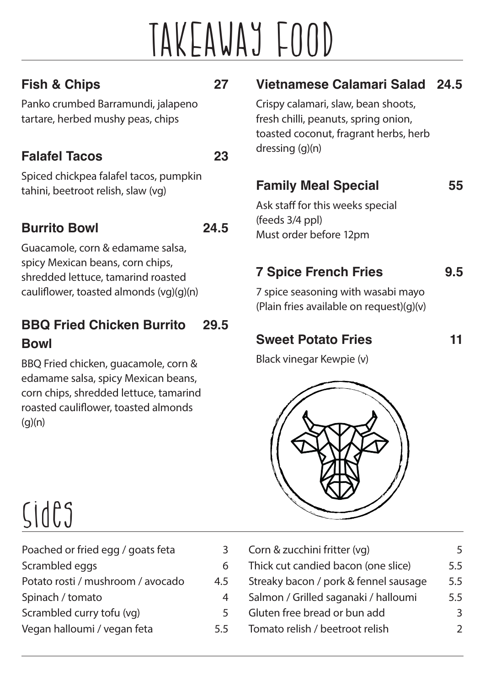## TAKEAwAy FOOD

#### **Fish & Chips 27**

Panko crumbed Barramundi, jalapeno tartare, herbed mushy peas, chips

#### **Falafel Tacos 23**

Spiced chickpea falafel tacos, pumpkin tahini, beetroot relish, slaw (vg)

#### **Burrito Bowl 24.5**

Guacamole, corn & edamame salsa, spicy Mexican beans, corn chips, shredded lettuce, tamarind roasted cauliflower, toasted almonds (vg)(g)(n)

#### **BBQ Fried Chicken Burrito 29.5 Bowl**

BBQ Fried chicken, guacamole, corn & edamame salsa, spicy Mexican beans, corn chips, shredded lettuce, tamarind roasted cauliflower, toasted almonds  $(q)(n)$ 

#### **Vietnamese Calamari Salad 24.5**

Crispy calamari, slaw, bean shoots, fresh chilli, peanuts, spring onion, toasted coconut, fragrant herbs, herb dressing (g)(n)

#### **Family Meal Special 55**

Ask staff for this weeks special (feeds 3/4 ppl) Must order before 12pm

### **7 Spice French Fries 9.5**

7 spice seasoning with wasabi mayo (Plain fries available on request)(g)(v)

#### **Sweet Potato Fries 11**

Black vinegar Kewpie (v)



### Sides

| Poached or fried egg / goats feta |     |
|-----------------------------------|-----|
| Scrambled eggs                    |     |
| Potato rosti / mushroom / avocado | 4.5 |
| Spinach / tomato                  |     |
| Scrambled curry tofu (vq)         | 5   |
| Vegan halloumi / vegan feta       | 5.5 |

| Corn & zucchini fritter (vg)          |     |
|---------------------------------------|-----|
| Thick cut candied bacon (one slice)   | 5.5 |
| Streaky bacon / pork & fennel sausage | 5.5 |
| Salmon / Grilled saganaki / halloumi  | 5.5 |
| Gluten free bread or bun add          | 3   |
| Tomato relish / beetroot relish       |     |
|                                       |     |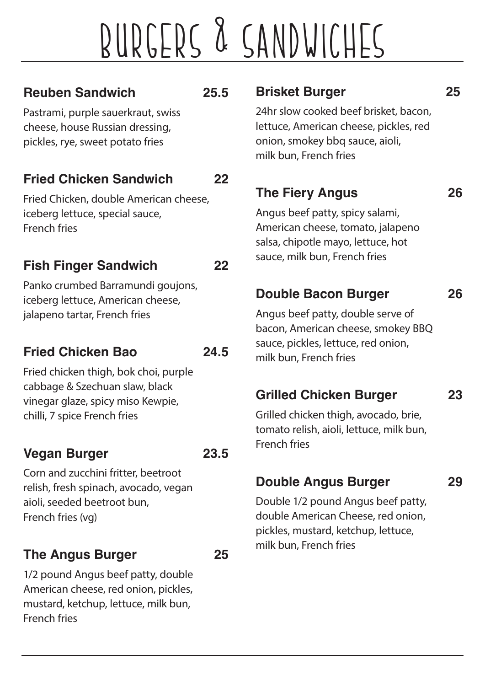# BuRGERS & SANDwICHES

#### **Reuben Sandwich 25.5**

Pastrami, purple sauerkraut, swiss cheese, house Russian dressing, pickles, rye, sweet potato fries

#### **Fried Chicken Sandwich 22**

Fried Chicken, double American cheese, iceberg lettuce, special sauce, French fries

#### **Fish Finger Sandwich 22**

Panko crumbed Barramundi goujons, iceberg lettuce, American cheese, jalapeno tartar, French fries

#### **Fried Chicken Bao 24.5**

Fried chicken thigh, bok choi, purple cabbage & Szechuan slaw, black vinegar glaze, spicy miso Kewpie, chilli, 7 spice French fries

#### **Vegan Burger 23.5**

Corn and zucchini fritter, beetroot relish, fresh spinach, avocado, vegan aioli, seeded beetroot bun, French fries (vg)

#### **The Angus Burger 25**

1/2 pound Angus beef patty, double American cheese, red onion, pickles, mustard, ketchup, lettuce, milk bun, French fries

#### **Brisket Burger 25**

24hr slow cooked beef brisket, bacon, lettuce, American cheese, pickles, red onion, smokey bbq sauce, aioli, milk bun, French fries

#### **The Fiery Angus 26**

Angus beef patty, spicy salami, American cheese, tomato, jalapeno salsa, chipotle mayo, lettuce, hot sauce, milk bun, French fries

#### **Double Bacon Burger 26**

Angus beef patty, double serve of bacon, American cheese, smokey BBQ sauce, pickles, lettuce, red onion, milk bun, French fries

#### **Grilled Chicken Burger 23**

Grilled chicken thigh, avocado, brie, tomato relish, aioli, lettuce, milk bun, French fries

#### **Double Angus Burger 29**

Double 1/2 pound Angus beef patty, double American Cheese, red onion, pickles, mustard, ketchup, lettuce, milk bun, French fries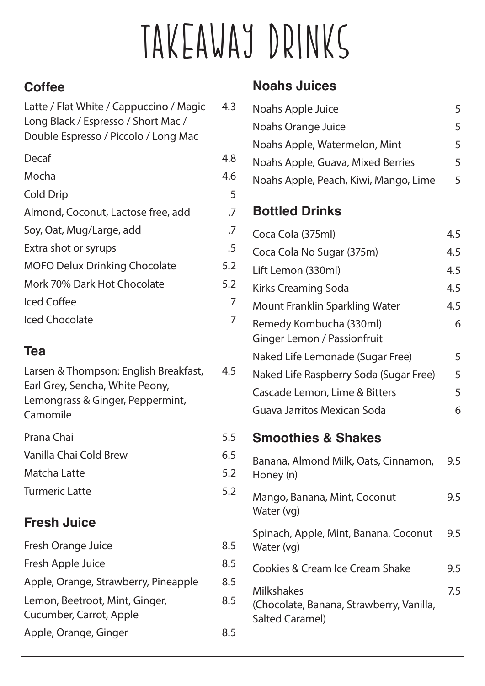# TAKEAwAy DRINKS

#### **Coffee**

| Latte / Flat White / Cappuccino / Magic<br>Long Black / Espresso / Short Mac /<br>Double Espresso / Piccolo / Long Mac | 4.3 |
|------------------------------------------------------------------------------------------------------------------------|-----|
| Decaf                                                                                                                  | 4.8 |
| Mocha                                                                                                                  | 4.6 |
| <b>Cold Drip</b>                                                                                                       | 5   |
| Almond, Coconut, Lactose free, add                                                                                     | .7  |
| Soy, Oat, Mug/Large, add                                                                                               | .7  |
| Extra shot or syrups                                                                                                   | .5  |
| <b>MOFO Delux Drinking Chocolate</b>                                                                                   | 5.2 |
| Mork 70% Dark Hot Chocolate                                                                                            | 5.2 |
| Iced Coffee                                                                                                            | 7   |
| <b>Iced Chocolate</b>                                                                                                  |     |

#### **Tea**

| Larsen & Thompson: English Breakfast,<br>Earl Grey, Sencha, White Peony,<br>Lemongrass & Ginger, Peppermint,<br>Camomile | 4.5 |
|--------------------------------------------------------------------------------------------------------------------------|-----|
| Prana Chai                                                                                                               | 5.5 |
| Vanilla Chai Cold Brew                                                                                                   | 6.5 |
| Matcha Latte                                                                                                             | 5.2 |
| <b>Turmeric Latte</b>                                                                                                    | 5.2 |
|                                                                                                                          |     |

#### **Fresh Juice**

| 8.5 |
|-----|
| 8.5 |
| 8.5 |
| 8.5 |
| 8.5 |
|     |

#### **Noahs Juices**

| Noahs Apple Juice                                                                       | 5   |
|-----------------------------------------------------------------------------------------|-----|
| Noahs Orange Juice                                                                      | 5   |
| Noahs Apple, Watermelon, Mint                                                           | 5   |
| Noahs Apple, Guava, Mixed Berries                                                       | 5   |
| Noahs Apple, Peach, Kiwi, Mango, Lime                                                   | 5   |
| <b>Bottled Drinks</b>                                                                   |     |
| Coca Cola (375ml)                                                                       | 4.5 |
| Coca Cola No Sugar (375m)                                                               | 4.5 |
| Lift Lemon (330ml)                                                                      | 4.5 |
| <b>Kirks Creaming Soda</b>                                                              | 4.5 |
| <b>Mount Franklin Sparkling Water</b>                                                   | 4.5 |
| Remedy Kombucha (330ml)<br>Ginger Lemon / Passionfruit                                  | 6   |
| Naked Life Lemonade (Sugar Free)                                                        | 5   |
| Naked Life Raspberry Soda (Sugar Free)                                                  | 5   |
| Cascade Lemon, Lime & Bitters                                                           | 5   |
| Guava Jarritos Mexican Soda                                                             | 6   |
| <b>Smoothies &amp; Shakes</b>                                                           |     |
| Banana, Almond Milk, Oats, Cinnamon,<br>Honey (n)                                       | 9.5 |
| Mango, Banana, Mint, Coconut<br>Water (vg)                                              | 9.5 |
| Spinach, Apple, Mint, Banana, Coconut<br>Water (vg)                                     | 9.5 |
| <b>Cookies &amp; Cream Ice Cream Shake</b>                                              | 9.5 |
| <b>Milkshakes</b><br>(Chocolate, Banana, Strawberry, Vanilla,<br><b>Salted Caramel)</b> | 7.5 |